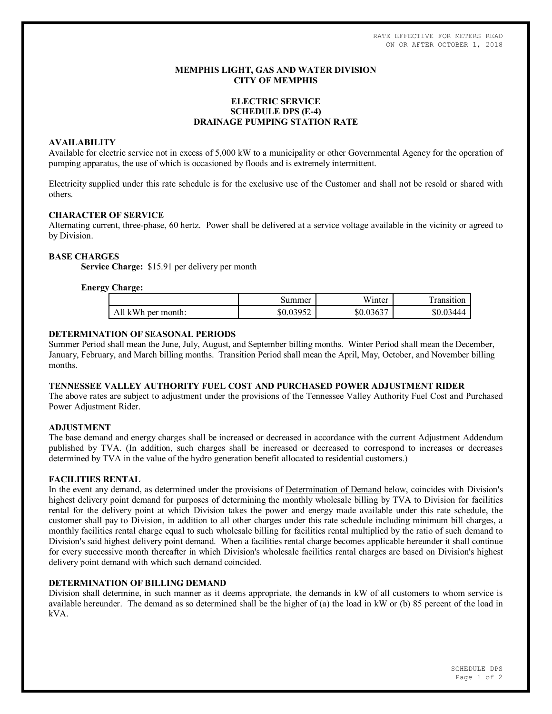RATE EFFECTIVE FOR METERS READ ON OR AFTER OCTOBER 1, 2018

## **MEMPHIS LIGHT, GAS AND WATER DIVISION CITY OF MEMPHIS**

# **ELECTRIC SERVICE SCHEDULE DPS (E-4) DRAINAGE PUMPING STATION RATE**

### **AVAILABILITY**

Available for electric service not in excess of 5,000 kW to a municipality or other Governmental Agency for the operation of pumping apparatus, the use of which is occasioned by floods and is extremely intermittent.

Electricity supplied under this rate schedule is for the exclusive use of the Customer and shall not be resold or shared with others.

### **CHARACTER OF SERVICE**

Alternating current, three-phase, 60 hertz. Power shall be delivered at a service voltage available in the vicinity or agreed to by Division.

### **BASE CHARGES**

**Service Charge:** \$15.91 per delivery per month

### **Energy Charge:**

| . .                |           | 11 T *    |                 |
|--------------------|-----------|-----------|-----------------|
|                    | Summer    | Winter    | .ransıtıon      |
| All kWh per month: | \$0.03952 | \$0.03637 | \$0.03<br>03444 |

### **DETERMINATION OF SEASONAL PERIODS**

Summer Period shall mean the June, July, August, and September billing months. Winter Period shall mean the December, January, February, and March billing months. Transition Period shall mean the April, May, October, and November billing months.

#### **TENNESSEE VALLEY AUTHORITY FUEL COST AND PURCHASED POWER ADJUSTMENT RIDER**

The above rates are subject to adjustment under the provisions of the Tennessee Valley Authority Fuel Cost and Purchased Power Adjustment Rider.

### **ADJUSTMENT**

The base demand and energy charges shall be increased or decreased in accordance with the current Adjustment Addendum published by TVA. (In addition, such charges shall be increased or decreased to correspond to increases or decreases determined by TVA in the value of the hydro generation benefit allocated to residential customers.)

#### **FACILITIES RENTAL**

In the event any demand, as determined under the provisions of Determination of Demand below, coincides with Division's highest delivery point demand for purposes of determining the monthly wholesale billing by TVA to Division for facilities rental for the delivery point at which Division takes the power and energy made available under this rate schedule, the customer shall pay to Division, in addition to all other charges under this rate schedule including minimum bill charges, a monthly facilities rental charge equal to such wholesale billing for facilities rental multiplied by the ratio of such demand to Division's said highest delivery point demand. When a facilities rental charge becomes applicable hereunder it shall continue for every successive month thereafter in which Division's wholesale facilities rental charges are based on Division's highest delivery point demand with which such demand coincided.

#### **DETERMINATION OF BILLING DEMAND**

Division shall determine, in such manner as it deems appropriate, the demands in kW of all customers to whom service is available hereunder. The demand as so determined shall be the higher of (a) the load in kW or (b) 85 percent of the load in kVA.